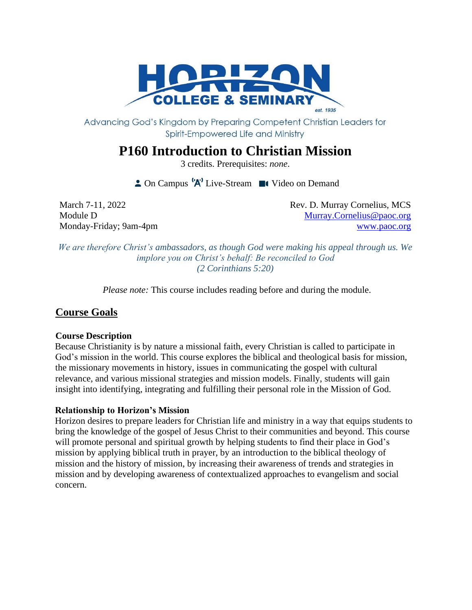

Advancing God's Kingdom by Preparing Competent Christian Leaders for Spirit-Empowered Life and Ministry

# **P160 Introduction to Christian Mission**

3 credits. Prerequisites: *none*.

 $\triangle$  On Campus  $^{\{A\}}$  Live-Stream  $\blacksquare$  Video on Demand

March 7-11, 2022 **Rev. D. Murray Cornelius, MCS** Module D [Murray.Cornelius@paoc.org](mailto:Murray.Cornelius@paoc.org) Monday-Friday; 9am-4pm [www.paoc.org](http://www.paoc.org/)

*We are therefore Christ's ambassadors, as though God were making his appeal through us. We implore you on Christ's behalf: Be reconciled to God (2 Corinthians 5:20)*

*Please note:* This course includes reading before and during the module.

## **Course Goals**

#### **Course Description**

Because Christianity is by nature a missional faith, every Christian is called to participate in God's mission in the world. This course explores the biblical and theological basis for mission, the missionary movements in history, issues in communicating the gospel with cultural relevance, and various missional strategies and mission models. Finally, students will gain insight into identifying, integrating and fulfilling their personal role in the Mission of God.

#### **Relationship to Horizon's Mission**

Horizon desires to prepare leaders for Christian life and ministry in a way that equips students to bring the knowledge of the gospel of Jesus Christ to their communities and beyond. This course will promote personal and spiritual growth by helping students to find their place in God's mission by applying biblical truth in prayer, by an introduction to the biblical theology of mission and the history of mission, by increasing their awareness of trends and strategies in mission and by developing awareness of contextualized approaches to evangelism and social concern.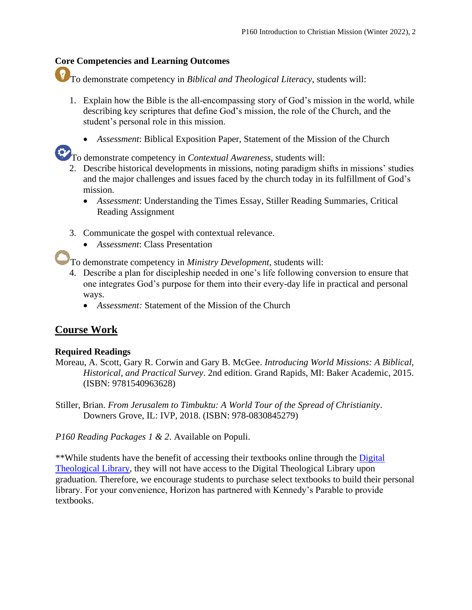## **Core Competencies and Learning Outcomes**

To demonstrate competency in *Biblical and Theological Literacy*, students will:

- 1. Explain how the Bible is the all-encompassing story of God's mission in the world, while describing key scriptures that define God's mission, the role of the Church, and the student's personal role in this mission.
	- *Assessment*: Biblical Exposition Paper, Statement of the Mission of the Church

To demonstrate competency in *Contextual Awareness*, students will:

- 2. Describe historical developments in missions, noting paradigm shifts in missions' studies and the major challenges and issues faced by the church today in its fulfillment of God's mission.
	- *Assessment*: Understanding the Times Essay, Stiller Reading Summaries, Critical Reading Assignment
- 3. Communicate the gospel with contextual relevance.
	- *Assessment*: Class Presentation

To demonstrate competency in *Ministry Development*, students will:

- 4. Describe a plan for discipleship needed in one's life following conversion to ensure that one integrates God's purpose for them into their every-day life in practical and personal ways.
	- *Assessment:* Statement of the Mission of the Church

## **Course Work**

#### **Required Readings**

- Moreau, A. Scott, Gary R. Corwin and Gary B. McGee. *Introducing World Missions: A Biblical, Historical, and Practical Survey*. 2nd edition. Grand Rapids, MI: Baker Academic, 2015. (ISBN: 9781540963628)
- Stiller, Brian. *From Jerusalem to Timbuktu: A World Tour of the Spread of Christianity*. Downers Grove, IL: IVP, 2018. (ISBN: 978-0830845279)

*P160 Reading Packages 1 & 2*. Available on Populi.

\*\*While students have the benefit of accessing their textbooks online through the Digital [Theological Library,](https://libguides.thedtl.org/home) they will not have access to the Digital Theological Library upon graduation. Therefore, we encourage students to purchase select textbooks to build their personal library. For your convenience, Horizon has partnered with Kennedy's Parable to provide textbooks.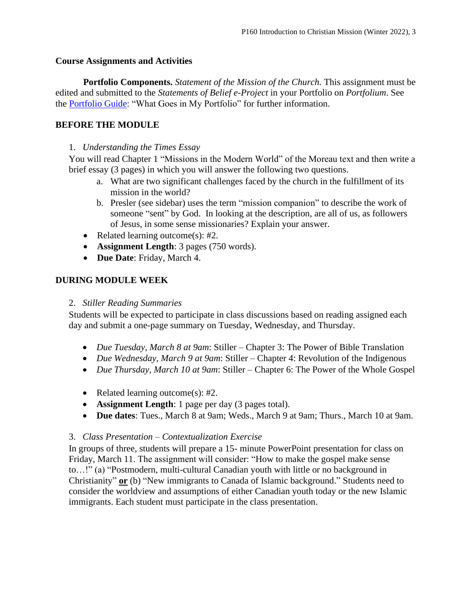#### **Course Assignments and Activities**

**Portfolio Components.** *Statement of the Mission of the Church.* This assignment must be edited and submitted to the *Statements of Belief e-Project* in your Portfolio on *Portfolium*. See the [Portfolio Guide:](https://www.horizon.edu/wp-content/uploads/2019/09/Portfolio-Guide-September-2019.pdf) "What Goes in My Portfolio" for further information.

#### **BEFORE THE MODULE**

#### 1. *Understanding the Times Essay*

You will read Chapter 1 "Missions in the Modern World" of the Moreau text and then write a brief essay (3 pages) in which you will answer the following two questions.

- a. What are two significant challenges faced by the church in the fulfillment of its mission in the world?
- b. Presler (see sidebar) uses the term "mission companion" to describe the work of someone "sent" by God. In looking at the description, are all of us, as followers of Jesus, in some sense missionaries? Explain your answer.
- Related learning outcome(s): #2.
- **Assignment Length**: 3 pages (750 words).
- **Due Date**: Friday, March 4.

#### **DURING MODULE WEEK**

#### 2. *Stiller Reading Summaries*

Students will be expected to participate in class discussions based on reading assigned each day and submit a one-page summary on Tuesday, Wednesday, and Thursday.

- *Due Tuesday, March 8 at 9am*: Stiller Chapter 3: The Power of Bible Translation
- *Due Wednesday, March 9 at 9am*: Stiller Chapter 4: Revolution of the Indigenous
- *Due Thursday, March 10 at 9am*: Stiller Chapter 6: The Power of the Whole Gospel
- Related learning outcome(s): #2.
- **Assignment Length**: 1 page per day (3 pages total).
- **Due dates**: Tues., March 8 at 9am; Weds., March 9 at 9am; Thurs., March 10 at 9am.

#### 3. *Class Presentation – Contextualization Exercise*

In groups of three, students will prepare a 15- minute PowerPoint presentation for class on Friday, March 11. The assignment will consider: "How to make the gospel make sense to…!" (a) "Postmodern, multi-cultural Canadian youth with little or no background in Christianity" **or** (b) "New immigrants to Canada of Islamic background." Students need to consider the worldview and assumptions of either Canadian youth today or the new Islamic immigrants. Each student must participate in the class presentation.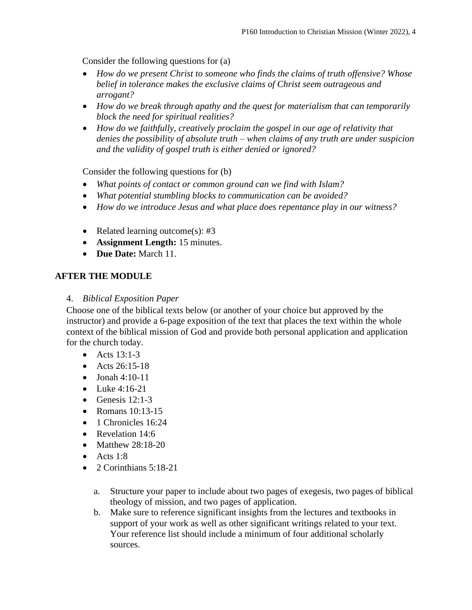Consider the following questions for (a)

- *How do we present Christ to someone who finds the claims of truth offensive? Whose belief in tolerance makes the exclusive claims of Christ seem outrageous and arrogant?*
- *How do we break through apathy and the quest for materialism that can temporarily block the need for spiritual realities?*
- *How do we faithfully, creatively proclaim the gospel in our age of relativity that denies the possibility of absolute truth – when claims of any truth are under suspicion and the validity of gospel truth is either denied or ignored?*

Consider the following questions for (b)

- *What points of contact or common ground can we find with Islam?*
- *What potential stumbling blocks to communication can be avoided?*
- *How do we introduce Jesus and what place does repentance play in our witness?*
- Related learning outcome(s): #3
- **Assignment Length:** 15 minutes.
- **Due Date:** March 11.

#### **AFTER THE MODULE**

#### 4. *Biblical Exposition Paper*

Choose one of the biblical texts below (or another of your choice but approved by the instructor) and provide a 6-page exposition of the text that places the text within the whole context of the biblical mission of God and provide both personal application and application for the church today.

- Acts 13:1-3
- Acts  $26:15-18$
- $\bullet$  Jonah 4:10-11
- Luke 4:16-21
- Genesis  $12:1-3$
- Romans 10:13-15
- 1 Chronicles 16:24
- Revelation 14:6
- Matthew 28:18-20
- Acts  $1:8$
- $\bullet$  2 Corinthians 5:18-21
	- a. Structure your paper to include about two pages of exegesis, two pages of biblical theology of mission, and two pages of application.
	- b. Make sure to reference significant insights from the lectures and textbooks in support of your work as well as other significant writings related to your text. Your reference list should include a minimum of four additional scholarly sources.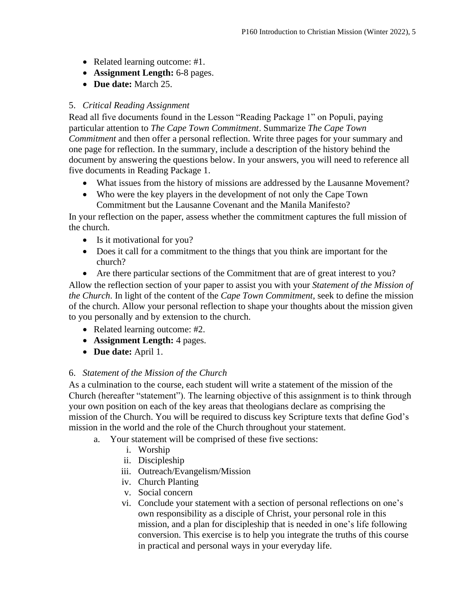- Related learning outcome: #1.
- **Assignment Length:** 6-8 pages.
- **Due date:** March 25.

## 5. *Critical Reading Assignment*

Read all five documents found in the Lesson "Reading Package 1" on Populi, paying particular attention to *The Cape Town Commitment*. Summarize *The Cape Town Commitment* and then offer a personal reflection. Write three pages for your summary and one page for reflection. In the summary, include a description of the history behind the document by answering the questions below. In your answers, you will need to reference all five documents in Reading Package 1.

- What issues from the history of missions are addressed by the Lausanne Movement?
- Who were the key players in the development of not only the Cape Town Commitment but the Lausanne Covenant and the Manila Manifesto?

In your reflection on the paper, assess whether the commitment captures the full mission of the church.

- Is it motivational for you?
- Does it call for a commitment to the things that you think are important for the church?
- Are there particular sections of the Commitment that are of great interest to you?

Allow the reflection section of your paper to assist you with your *Statement of the Mission of the Church*. In light of the content of the *Cape Town Commitment*, seek to define the mission of the church. Allow your personal reflection to shape your thoughts about the mission given to you personally and by extension to the church.

- Related learning outcome: #2.
- **Assignment Length:** 4 pages.
- **Due date:** April 1.

#### 6. *Statement of the Mission of the Church*

As a culmination to the course, each student will write a statement of the mission of the Church (hereafter "statement"). The learning objective of this assignment is to think through your own position on each of the key areas that theologians declare as comprising the mission of the Church. You will be required to discuss key Scripture texts that define God's mission in the world and the role of the Church throughout your statement.

- a. Your statement will be comprised of these five sections:
	- i. Worship
	- ii. Discipleship
	- iii. Outreach/Evangelism/Mission
	- iv. Church Planting
	- v. Social concern
	- vi. Conclude your statement with a section of personal reflections on one's own responsibility as a disciple of Christ, your personal role in this mission, and a plan for discipleship that is needed in one's life following conversion. This exercise is to help you integrate the truths of this course in practical and personal ways in your everyday life.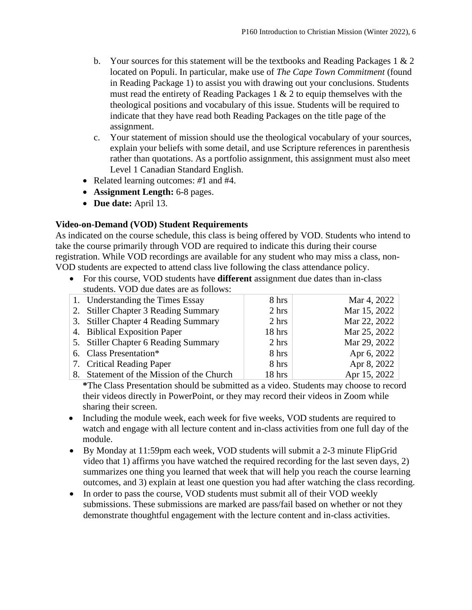- b. Your sources for this statement will be the textbooks and Reading Packages 1 & 2 located on Populi. In particular, make use of *The Cape Town Commitment* (found in Reading Package 1) to assist you with drawing out your conclusions. Students must read the entirety of Reading Packages 1 & 2 to equip themselves with the theological positions and vocabulary of this issue. Students will be required to indicate that they have read both Reading Packages on the title page of the assignment.
- c. Your statement of mission should use the theological vocabulary of your sources, explain your beliefs with some detail, and use Scripture references in parenthesis rather than quotations. As a portfolio assignment, this assignment must also meet Level 1 Canadian Standard English.
- Related learning outcomes: *#*1 and #4.
- **Assignment Length:** 6-8 pages.
- **Due date:** April 13.

#### **Video-on-Demand (VOD) Student Requirements**

As indicated on the course schedule, this class is being offered by VOD. Students who intend to take the course primarily through VOD are required to indicate this during their course registration. While VOD recordings are available for any student who may miss a class, non-VOD students are expected to attend class live following the class attendance policy.

• For this course, VOD students have **different** assignment due dates than in-class students. VOD due dates are as follows:

| 1. Understanding the Times Essay          | 8 hrs           | Mar 4, 2022  |
|-------------------------------------------|-----------------|--------------|
| 2. Stiller Chapter 3 Reading Summary      | $2 \text{ hrs}$ | Mar 15, 2022 |
| 3. Stiller Chapter 4 Reading Summary      | 2 hrs           | Mar 22, 2022 |
| 4. Biblical Exposition Paper              | $18$ hrs        | Mar 25, 2022 |
| 5. Stiller Chapter 6 Reading Summary      | $2 \text{ hrs}$ | Mar 29, 2022 |
| 6. Class Presentation*                    | 8 hrs           | Apr 6, 2022  |
| 7. Critical Reading Paper                 | 8 hrs           | Apr 8, 2022  |
| 8. Statement of the Mission of the Church | 18 hrs          | Apr 15, 2022 |

**\***The Class Presentation should be submitted as a video. Students may choose to record their videos directly in PowerPoint, or they may record their videos in Zoom while sharing their screen.

- Including the module week, each week for five weeks, VOD students are required to watch and engage with all lecture content and in-class activities from one full day of the module.
- By Monday at 11:59pm each week, VOD students will submit a 2-3 minute FlipGrid video that 1) affirms you have watched the required recording for the last seven days, 2) summarizes one thing you learned that week that will help you reach the course learning outcomes, and 3) explain at least one question you had after watching the class recording.
- In order to pass the course, VOD students must submit all of their VOD weekly submissions. These submissions are marked are pass/fail based on whether or not they demonstrate thoughtful engagement with the lecture content and in-class activities.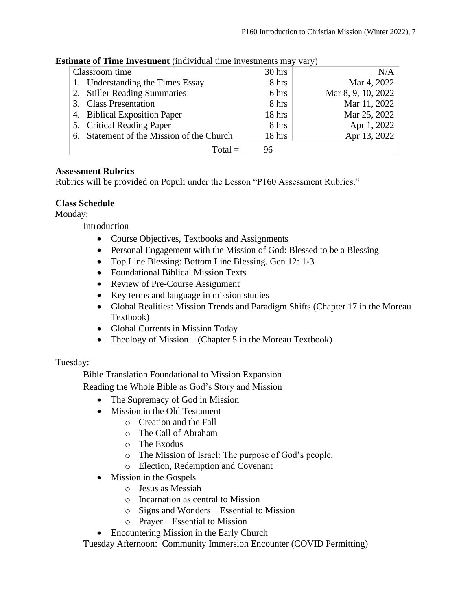| sumate of Time Investment (individual time investments may vary) |                                           |          |                    |  |  |
|------------------------------------------------------------------|-------------------------------------------|----------|--------------------|--|--|
| Classroom time                                                   |                                           | $30$ hrs | N/A                |  |  |
|                                                                  | 1. Understanding the Times Essay          | 8 hrs    | Mar 4, 2022        |  |  |
|                                                                  | 2. Stiller Reading Summaries              | 6 hrs    | Mar 8, 9, 10, 2022 |  |  |
| 3. Class Presentation                                            |                                           | 8 hrs    | Mar 11, 2022       |  |  |
| 4. Biblical Exposition Paper                                     |                                           | 18 hrs   | Mar 25, 2022       |  |  |
| 5. Critical Reading Paper                                        |                                           | 8 hrs    | Apr 1, 2022        |  |  |
|                                                                  | 6. Statement of the Mission of the Church | 18 hrs   | Apr 13, 2022       |  |  |
|                                                                  | $Total =$                                 | 96       |                    |  |  |

## **Estimate of Time Investment** (individual time investments may vary)

#### **Assessment Rubrics**

Rubrics will be provided on Populi under the Lesson "P160 Assessment Rubrics."

#### **Class Schedule**

Monday:

Introduction

- Course Objectives, Textbooks and Assignments
- Personal Engagement with the Mission of God: Blessed to be a Blessing
- Top Line Blessing: Bottom Line Blessing. Gen 12: 1-3
- Foundational Biblical Mission Texts
- Review of Pre-Course Assignment
- Key terms and language in mission studies
- Global Realities: Mission Trends and Paradigm Shifts (Chapter 17 in the Moreau Textbook)
- Global Currents in Mission Today
- Theology of Mission (Chapter 5 in the Moreau Textbook)

#### Tuesday:

Bible Translation Foundational to Mission Expansion

Reading the Whole Bible as God's Story and Mission

- The Supremacy of God in Mission
- Mission in the Old Testament
	- o Creation and the Fall
	- o The Call of Abraham
	- o The Exodus
	- o The Mission of Israel: The purpose of God's people.
	- o Election, Redemption and Covenant
- Mission in the Gospels
	- o Jesus as Messiah
	- o Incarnation as central to Mission
	- o Signs and Wonders Essential to Mission
	- o Prayer Essential to Mission
- Encountering Mission in the Early Church

Tuesday Afternoon: Community Immersion Encounter (COVID Permitting)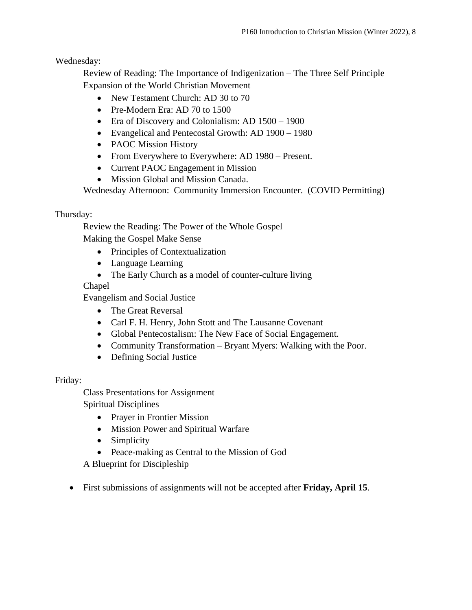Wednesday:

Review of Reading: The Importance of Indigenization – The Three Self Principle Expansion of the World Christian Movement

- New Testament Church: AD 30 to 70
- Pre-Modern Era: AD 70 to 1500
- Era of Discovery and Colonialism: AD  $1500 1900$
- Evangelical and Pentecostal Growth: AD 1900 1980
- PAOC Mission History
- From Everywhere to Everywhere: AD 1980 Present.
- Current PAOC Engagement in Mission
- Mission Global and Mission Canada.

Wednesday Afternoon: Community Immersion Encounter. (COVID Permitting)

## Thursday:

Review the Reading: The Power of the Whole Gospel

Making the Gospel Make Sense

- Principles of Contextualization
- Language Learning
- The Early Church as a model of counter-culture living

## Chapel

Evangelism and Social Justice

- The Great Reversal
- Carl F. H. Henry, John Stott and The Lausanne Covenant
- Global Pentecostalism: The New Face of Social Engagement.
- Community Transformation Bryant Myers: Walking with the Poor.
- Defining Social Justice

## Friday:

Class Presentations for Assignment Spiritual Disciplines

- Prayer in Frontier Mission
- Mission Power and Spiritual Warfare
- Simplicity
- Peace-making as Central to the Mission of God

A Blueprint for Discipleship

• First submissions of assignments will not be accepted after **Friday, April 15**.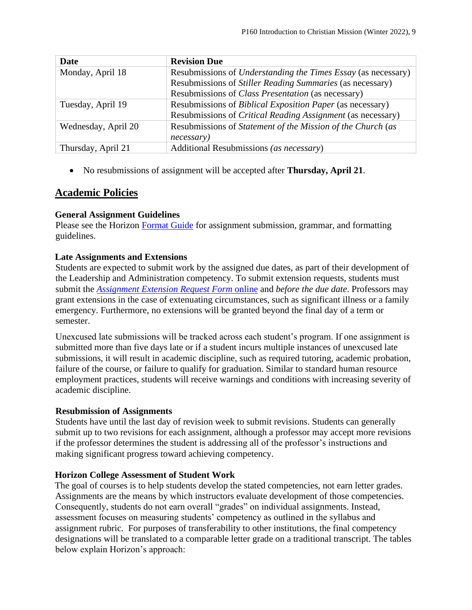| <b>Date</b>         | <b>Revision Due</b>                                                  |  |
|---------------------|----------------------------------------------------------------------|--|
| Monday, April 18    | Resubmissions of <i>Understanding the Times Essay</i> (as necessary) |  |
|                     | Resubmissions of <i>Stiller Reading Summaries</i> (as necessary)     |  |
|                     | Resubmissions of <i>Class Presentation</i> (as necessary)            |  |
| Tuesday, April 19   | Resubmissions of <i>Biblical Exposition Paper</i> (as necessary)     |  |
|                     | Resubmissions of <i>Critical Reading Assignment</i> (as necessary)   |  |
| Wednesday, April 20 | Resubmissions of Statement of the Mission of the Church (as          |  |
|                     | necessary)                                                           |  |
| Thursday, April 21  | Additional Resubmissions (as necessary)                              |  |

• No resubmissions of assignment will be accepted after **Thursday, April 21**.

## **Academic Policies**

#### **General Assignment Guidelines**

Please see the Horizon [Format Guide](https://www.horizon.edu/students/resources/) for assignment submission, grammar, and formatting guidelines.

## **Late Assignments and Extensions**

Students are expected to submit work by the assigned due dates, as part of their development of the Leadership and Administration competency. To submit extension requests, students must submit the *[Assignment Extension Request Form](https://horizon.edu/forms/student/)* online and *before the due date*. Professors may grant extensions in the case of extenuating circumstances, such as significant illness or a family emergency. Furthermore, no extensions will be granted beyond the final day of a term or semester.

Unexcused late submissions will be tracked across each student's program. If one assignment is submitted more than five days late or if a student incurs multiple instances of unexcused late submissions, it will result in academic discipline, such as required tutoring, academic probation, failure of the course, or failure to qualify for graduation. Similar to standard human resource employment practices, students will receive warnings and conditions with increasing severity of academic discipline.

#### **Resubmission of Assignments**

Students have until the last day of revision week to submit revisions. Students can generally submit up to two revisions for each assignment, although a professor may accept more revisions if the professor determines the student is addressing all of the professor's instructions and making significant progress toward achieving competency.

## **Horizon College Assessment of Student Work**

The goal of courses is to help students develop the stated competencies, not earn letter grades. Assignments are the means by which instructors evaluate development of those competencies. Consequently, students do not earn overall "grades" on individual assignments. Instead, assessment focuses on measuring students' competency as outlined in the syllabus and assignment rubric. For purposes of transferability to other institutions, the final competency designations will be translated to a comparable letter grade on a traditional transcript. The tables below explain Horizon's approach: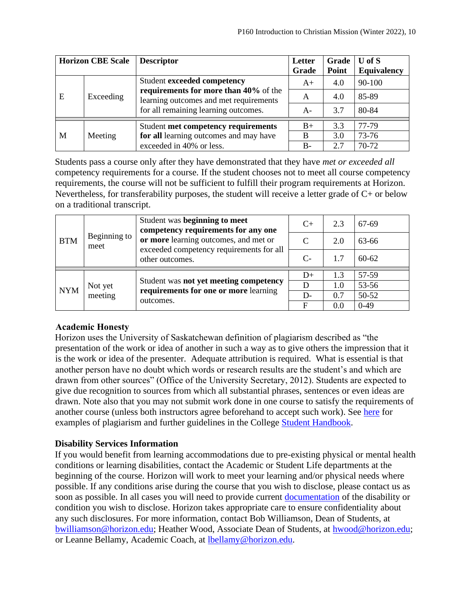| <b>Horizon CBE Scale</b> |           | <b>Descriptor</b>                                                                                                                                      | Letter<br>Grade | Grade<br>Point | $U$ of $S$<br><b>Equivalency</b> |
|--------------------------|-----------|--------------------------------------------------------------------------------------------------------------------------------------------------------|-----------------|----------------|----------------------------------|
|                          | Exceeding | Student exceeded competency<br>requirements for more than 40% of the<br>learning outcomes and met requirements<br>for all remaining learning outcomes. | $A+$            | 4.0            | 90-100                           |
| E                        |           |                                                                                                                                                        | A               | 4.0            | 85-89                            |
|                          |           |                                                                                                                                                        | $A-$            | 3.7            | 80-84                            |
|                          |           | Student met competency requirements                                                                                                                    | $B+$            | 3.3            | 77-79                            |
| M                        | Meeting   | for all learning outcomes and may have                                                                                                                 | B               | 3.0            | 73-76                            |
|                          |           | exceeded in 40% or less.                                                                                                                               | $B -$           | 2.7            | 70-72                            |

Students pass a course only after they have demonstrated that they have *met or exceeded all*  competency requirements for a course. If the student chooses not to meet all course competency requirements, the course will not be sufficient to fulfill their program requirements at Horizon. Nevertheless, for transferability purposes, the student will receive a letter grade of C+ or below on a traditional transcript.

| <b>BTM</b> | Beginning to<br>meet | Student was beginning to meet<br>competency requirements for any one<br>or more learning outcomes, and met or<br>exceeded competency requirements for all<br>other outcomes. | $C+$        | 2.3 | 67-69     |
|------------|----------------------|------------------------------------------------------------------------------------------------------------------------------------------------------------------------------|-------------|-----|-----------|
|            |                      |                                                                                                                                                                              |             | 2.0 | 63-66     |
|            |                      |                                                                                                                                                                              | $C-$        | 1.7 | $60 - 62$ |
|            | Not yet<br>meeting   | Student was not yet meeting competency<br>requirements for one or more learning<br>outcomes.                                                                                 | $D+$        | 1.3 | 57-59     |
| <b>NYM</b> |                      |                                                                                                                                                                              |             | 1.0 | 53-56     |
|            |                      |                                                                                                                                                                              | $D -$       | 0.7 | 50-52     |
|            |                      |                                                                                                                                                                              | $\mathbf F$ | 0.0 | $0-49$    |

## **Academic Honesty**

Horizon uses the University of Saskatchewan definition of plagiarism described as "the presentation of the work or idea of another in such a way as to give others the impression that it is the work or idea of the presenter. Adequate attribution is required. What is essential is that another person have no doubt which words or research results are the student's and which are drawn from other sources" (Office of the University Secretary, 2012). Students are expected to give due recognition to sources from which all substantial phrases, sentences or even ideas are drawn. Note also that you may not submit work done in one course to satisfy the requirements of another course (unless both instructors agree beforehand to accept such work). See [here](http://www.turnitin.com/assets/en_us/media/plagiarism_spectrum.php) for examples of plagiarism and further guidelines in the College [Student Handbook.](https://www.horizon.edu/students/resources/)

## **Disability Services Information**

If you would benefit from learning accommodations due to pre-existing physical or mental health conditions or learning disabilities, contact the Academic or Student Life departments at the beginning of the course. Horizon will work to meet your learning and/or physical needs where possible. If any conditions arise during the course that you wish to disclose, please contact us as soon as possible. In all cases you will need to provide current [documentation](https://www.horizon.edu/students/support/) of the disability or condition you wish to disclose. Horizon takes appropriate care to ensure confidentiality about any such disclosures. For more information, contact Bob Williamson, Dean of Students, at [bwilliamson@horizon.edu;](mailto:bwilliamson@horizon.edu) Heather Wood, Associate Dean of Students, at [hwood@horizon.edu;](mailto:hwood@horizon.edu) or Leanne Bellamy, Academic Coach, at [lbellamy@horizon.edu.](mailto:lbellamy@horizon.edu)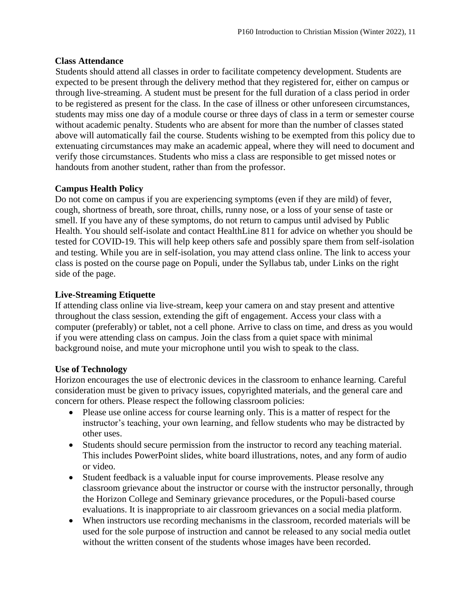#### **Class Attendance**

Students should attend all classes in order to facilitate competency development. Students are expected to be present through the delivery method that they registered for, either on campus or through live-streaming. A student must be present for the full duration of a class period in order to be registered as present for the class. In the case of illness or other unforeseen circumstances, students may miss one day of a module course or three days of class in a term or semester course without academic penalty. Students who are absent for more than the number of classes stated above will automatically fail the course. Students wishing to be exempted from this policy due to extenuating circumstances may make an academic appeal, where they will need to document and verify those circumstances. Students who miss a class are responsible to get missed notes or handouts from another student, rather than from the professor.

## **Campus Health Policy**

Do not come on campus if you are experiencing symptoms (even if they are mild) of fever, cough, shortness of breath, sore throat, chills, runny nose, or a loss of your sense of taste or smell. If you have any of these symptoms, do not return to campus until advised by Public Health. You should self-isolate and contact HealthLine 811 for advice on whether you should be tested for COVID-19. This will help keep others safe and possibly spare them from self-isolation and testing. While you are in self-isolation, you may attend class online. The link to access your class is posted on the course page on Populi, under the Syllabus tab, under Links on the right side of the page.

#### **Live-Streaming Etiquette**

If attending class online via live-stream, keep your camera on and stay present and attentive throughout the class session, extending the gift of engagement. Access your class with a computer (preferably) or tablet, not a cell phone. Arrive to class on time, and dress as you would if you were attending class on campus. Join the class from a quiet space with minimal background noise, and mute your microphone until you wish to speak to the class.

#### **Use of Technology**

Horizon encourages the use of electronic devices in the classroom to enhance learning. Careful consideration must be given to privacy issues, copyrighted materials, and the general care and concern for others. Please respect the following classroom policies:

- Please use online access for course learning only. This is a matter of respect for the instructor's teaching, your own learning, and fellow students who may be distracted by other uses.
- Students should secure permission from the instructor to record any teaching material. This includes PowerPoint slides, white board illustrations, notes, and any form of audio or video.
- Student feedback is a valuable input for course improvements. Please resolve any classroom grievance about the instructor or course with the instructor personally, through the Horizon College and Seminary grievance procedures, or the Populi-based course evaluations. It is inappropriate to air classroom grievances on a social media platform.
- When instructors use recording mechanisms in the classroom, recorded materials will be used for the sole purpose of instruction and cannot be released to any social media outlet without the written consent of the students whose images have been recorded.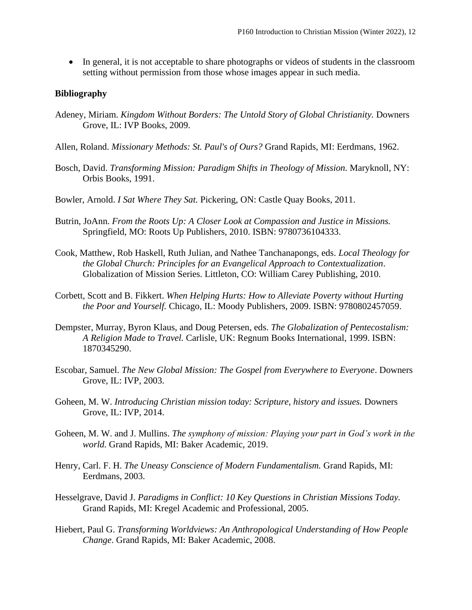• In general, it is not acceptable to share photographs or videos of students in the classroom setting without permission from those whose images appear in such media.

#### **Bibliography**

- Adeney, Miriam. *Kingdom Without Borders: The Untold Story of Global Christianity.* Downers Grove, IL: IVP Books, 2009.
- Allen, Roland. *Missionary Methods: St. Paul's of Ours?* Grand Rapids, MI: Eerdmans, 1962.
- Bosch, David. *Transforming Mission: Paradigm Shifts in Theology of Mission*. Maryknoll, NY: Orbis Books, 1991.
- Bowler, Arnold. *I Sat Where They Sat.* Pickering, ON: Castle Quay Books, 2011.
- Butrin, JoAnn. *From the Roots Up: A Closer Look at Compassion and Justice in Missions.*  Springfield, MO: Roots Up Publishers, 2010. ISBN: 9780736104333.
- Cook, Matthew, Rob Haskell, Ruth Julian, and Nathee Tanchanapongs, eds. *Local Theology for the Global Church: Principles for an Evangelical Approach to Contextualization*. Globalization of Mission Series. Littleton, CO: William Carey Publishing, 2010.
- Corbett, Scott and B. Fikkert. *When Helping Hurts: How to Alleviate Poverty without Hurting the Poor and Yourself.* Chicago, IL: Moody Publishers, 2009. ISBN: 9780802457059.
- Dempster, Murray, Byron Klaus, and Doug Petersen, eds. *The Globalization of Pentecostalism: A Religion Made to Travel.* Carlisle, UK: Regnum Books International, 1999. ISBN: 1870345290.
- Escobar, Samuel. *The New Global Mission: The Gospel from Everywhere to Everyone*. Downers Grove, IL: IVP, 2003.
- Goheen, M. W. *Introducing Christian mission today: Scripture, history and issues.* Downers Grove, IL: IVP, 2014.
- Goheen, M. W. and J. Mullins. *The symphony of mission: Playing your part in God's work in the world.* Grand Rapids, MI: Baker Academic, 2019.
- Henry, Carl. F. H. *The Uneasy Conscience of Modern Fundamentalism.* Grand Rapids, MI: Eerdmans, 2003.
- Hesselgrave, David J. *Paradigms in Conflict: 10 Key Questions in Christian Missions Today.*  Grand Rapids, MI: Kregel Academic and Professional, 2005.
- Hiebert, Paul G. *Transforming Worldviews: An Anthropological Understanding of How People Change*. Grand Rapids, MI: Baker Academic, 2008.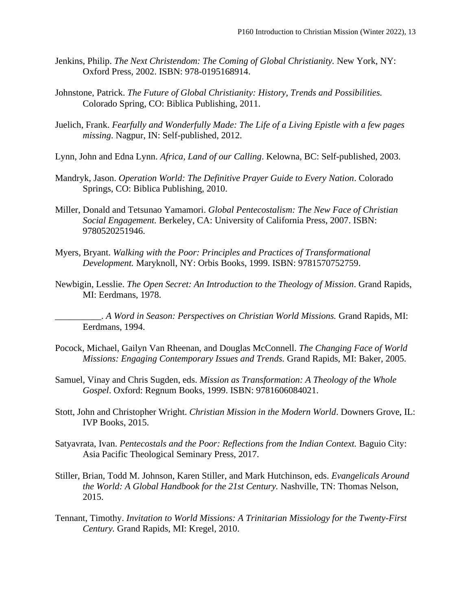- Jenkins, Philip. *The Next Christendom: The Coming of Global Christianity.* New York, NY: Oxford Press, 2002. ISBN: 978-0195168914.
- Johnstone, Patrick. *The Future of Global Christianity: History, Trends and Possibilities.*  Colorado Spring, CO: Biblica Publishing, 2011.
- Juelich, Frank. *Fearfully and Wonderfully Made: The Life of a Living Epistle with a few pages missing*. Nagpur, IN: Self-published, 2012.
- Lynn, John and Edna Lynn. *Africa, Land of our Calling*. Kelowna, BC: Self-published, 2003.
- Mandryk, Jason. *Operation World: The Definitive Prayer Guide to Every Nation*. Colorado Springs, CO: Biblica Publishing, 2010.
- Miller, Donald and Tetsunao Yamamori. *Global Pentecostalism: The New Face of Christian Social Engagement.* Berkeley, CA: University of California Press, 2007. ISBN: 9780520251946.
- Myers, Bryant. *Walking with the Poor: Principles and Practices of Transformational Development.* Maryknoll, NY: Orbis Books, 1999. ISBN: 9781570752759.
- Newbigin, Lesslie. *The Open Secret: An Introduction to the Theology of Mission*. Grand Rapids, MI: Eerdmans, 1978.

\_\_\_\_\_\_\_\_\_\_. *A Word in Season: Perspectives on Christian World Missions.* Grand Rapids, MI: Eerdmans, 1994.

- Pocock, Michael, Gailyn Van Rheenan, and Douglas McConnell. *The Changing Face of World Missions: Engaging Contemporary Issues and Trends.* Grand Rapids, MI: Baker, 2005.
- Samuel, Vinay and Chris Sugden, eds. *Mission as Transformation: A Theology of the Whole Gospel*. Oxford: Regnum Books, 1999. ISBN: 9781606084021.
- Stott, John and Christopher Wright. *Christian Mission in the Modern World*. Downers Grove, IL: IVP Books, 2015.
- Satyavrata, Ivan. *Pentecostals and the Poor: Reflections from the Indian Context*. Baguio City: Asia Pacific Theological Seminary Press, 2017.
- Stiller, Brian, Todd M. Johnson, Karen Stiller, and Mark Hutchinson, eds. *Evangelicals Around the World: A Global Handbook for the 21st Century.* Nashville, TN: Thomas Nelson, 2015.
- Tennant, Timothy. *Invitation to World Missions: A Trinitarian Missiology for the Twenty-First Century.* Grand Rapids, MI: Kregel, 2010.